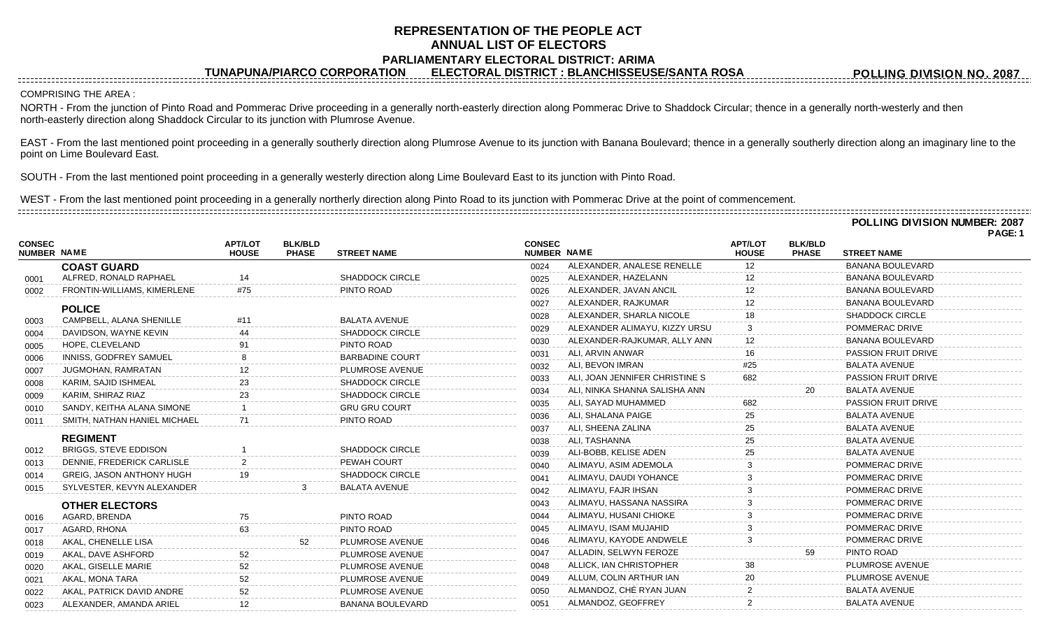## **REPRESENTATION OF THE PEOPLE ACT ANNUAL LIST OF ELECTORS PARLIAMENTARY ELECTORAL DISTRICT: ARIMA**

**TUNAPUNA/PIARCO CORPORATION ELECTORAL DISTRICT : BLANCHISSEUSE/SANTA ROSA**

**POLLING DIVISION NO. 2087**

**POLLING DIVISION NUMBER: 2087**

COMPRISING THE AREA :

NORTH - From the junction of Pinto Road and Pommerac Drive proceeding in a generally north-easterly direction along Pommerac Drive to Shaddock Circular; thence in a generally north-westerly and then north-easterly direction along Shaddock Circular to its junction with Plumrose Avenue.

EAST - From the last mentioned point proceeding in a generally southerly direction along Plumrose Avenue to its junction with Banana Boulevard; thence in a generally southerly direction along an imaginary line to the point on Lime Boulevard East.

SOUTH - From the last mentioned point proceeding in a generally westerly direction along Lime Boulevard East to its junction with Pinto Road.

WEST - From the last mentioned point proceeding in a generally northerly direction along Pinto Road to its junction with Pommerac Drive at the point of commencement. 

|                              |                                  |                                |                                |                         |                              |                                |                                |                                | POLLING DIVISION NUMBER: 2087<br><b>PAGE: 1</b> |
|------------------------------|----------------------------------|--------------------------------|--------------------------------|-------------------------|------------------------------|--------------------------------|--------------------------------|--------------------------------|-------------------------------------------------|
| <b>CONSEC</b><br>NUMBER NAME |                                  | <b>APT/LOT</b><br><b>HOUSE</b> | <b>BLK/BLD</b><br><b>PHASE</b> | <b>STREET NAME</b>      | <b>CONSEC</b><br>NUMBER NAME |                                | <b>APT/LOT</b><br><b>HOUSE</b> | <b>BLK/BLD</b><br><b>PHASE</b> | <b>STREET NAME</b>                              |
|                              | <b>COAST GUARD</b>               |                                |                                |                         | 0024                         | ALEXANDER, ANALESE RENELLE     | 12                             |                                | <b>BANANA BOULEVARD</b>                         |
| 0001                         | ALFRED, RONALD RAPHAEL           | 14                             |                                | <b>SHADDOCK CIRCLE</b>  | 0025                         | ALEXANDER, HAZELANN            |                                |                                | <b>BANANA BOULEVARD</b>                         |
| 0002                         | FRONTIN-WILLIAMS, KIMERLENE      | #75                            |                                | PINTO ROAD              | 0026                         | ALEXANDER, JAVAN ANCIL         |                                |                                | <b>BANANA BOULEVARD</b>                         |
|                              | <b>POLICE</b>                    |                                |                                |                         | 0027                         | ALEXANDER, RAJKUMAR            |                                |                                | <b>BANANA BOULEVARD</b>                         |
| 0003                         | CAMPBELL, ALANA SHENILLE         | #11                            |                                | <b>BALATA AVENUE</b>    | 0028                         | ALEXANDER, SHARLA NICOLE       | 18                             |                                | <b>SHADDOCK CIRCLE</b>                          |
| 0004                         | DAVIDSON, WAYNE KEVIN            |                                |                                | <b>SHADDOCK CIRCLE</b>  | 0029                         | ALEXANDER ALIMAYU, KIZZY URSU  |                                |                                | POMMERAC DRIVE                                  |
| 0005                         | HOPE, CLEVELAND                  |                                |                                | PINTO ROAD              | 0030                         | ALEXANDER-RAJKUMAR, ALLY ANN   | 12                             |                                | <b>BANANA BOULEVARD</b>                         |
| 0006                         | INNISS, GODFREY SAMUEL           |                                |                                | <b>BARBADINE COURT</b>  | 0031                         | ALI, ARVIN ANWAR               | 16                             |                                | <b>PASSION FRUIT DRIVE</b>                      |
| 0007                         | JUGMOHAN, RAMRATAN               |                                |                                | PLUMROSE AVENUE         | 0032                         | ALI, BEVON IMRAN               | #25                            |                                | <b>BALATA AVENUE</b>                            |
| 0008                         | KARIM, SAJID ISHMEAL             |                                |                                | <b>SHADDOCK CIRCLE</b>  | 0033                         | ALI, JOAN JENNIFER CHRISTINE S | 682                            |                                | <b>PASSION FRUIT DRIVE</b>                      |
| 0009                         | KARIM, SHIRAZ RIAZ               |                                |                                | <b>SHADDOCK CIRCLE</b>  | 0034                         | ALI, NINKA SHANNA SALISHA ANN  |                                |                                | <b>BALATA AVENUE</b>                            |
| 0010                         | SANDY, KEITHA ALANA SIMONE       |                                |                                | <b>GRU GRU COURT</b>    | 0035                         | ALI, SAYAD MUHAMMED            | 682                            |                                | PASSION FRUIT DRIVE                             |
| 0011                         | SMITH, NATHAN HANIEL MICHAEL     |                                |                                | PINTO ROAD              | 0036                         | ALI, SHALANA PAIGE             | 25                             |                                | <b>BALATA AVENUE</b>                            |
|                              |                                  |                                |                                |                         | 0037                         | ALI, SHEENA ZALINA             | 25                             |                                | <b>BALATA AVENUE</b>                            |
|                              | <b>REGIMENT</b>                  |                                |                                |                         | 0038                         | ALI, TASHANNA                  | 25                             |                                | <b>BALATA AVENUE</b>                            |
| 0012                         | <b>BRIGGS, STEVE EDDISON</b>     |                                |                                | <b>SHADDOCK CIRCLE</b>  | 0039                         | ALI-BOBB, KELISE ADEN          | 25                             |                                | <b>BALATA AVENUE</b>                            |
| 0013                         | DENNIE, FREDERICK CARLISLE       |                                |                                | PEWAH COURT             | 0040                         | ALIMAYU, ASIM ADEMOLA          |                                |                                | POMMERAC DRIVE                                  |
| 0014                         | <b>GREIG, JASON ANTHONY HUGH</b> |                                |                                | SHADDOCK CIRCLE         | 0041                         | ALIMAYU, DAUDI YOHANCE         |                                |                                | POMMERAC DRIVE                                  |
| 0015                         | SYLVESTER, KEVYN ALEXANDER       |                                |                                | <b>BALATA AVENUE</b>    | 0042                         | ALIMAYU, FAJR IHSAN            |                                |                                | POMMERAC DRIVE                                  |
|                              | <b>OTHER ELECTORS</b>            |                                |                                |                         | 0043                         | ALIMAYU, HASSANA NASSIRA       |                                |                                | POMMERAC DRIVE                                  |
| 0016                         | AGARD, BRENDA                    | 75                             |                                | PINTO ROAD              | 0044                         | ALIMAYU, HUSANI CHIOKE         |                                |                                | POMMERAC DRIVE                                  |
| 0017                         | AGARD, RHONA                     | 63                             |                                | PINTO ROAD              | 0045                         | ALIMAYU, ISAM MUJAHID          |                                |                                | POMMERAC DRIVE                                  |
| 0018                         | AKAL, CHENELLE LISA              |                                | 52                             | PLUMROSE AVENUE         | 0046                         | ALIMAYU, KAYODE ANDWELE        |                                |                                | POMMERAC DRIVE                                  |
| 0019                         | AKAL, DAVE ASHFORD               | 52                             |                                | PLUMROSE AVENUE         | 0047                         | ALLADIN, SELWYN FEROZE         |                                | 59                             | PINTO ROAD                                      |
| 0020                         | AKAL, GISELLE MARIE              |                                |                                | PLUMROSE AVENUE         | 0048                         | ALLICK, IAN CHRISTOPHER        | 38                             |                                | PLUMROSE AVENUE                                 |
| 0021                         | AKAL, MONA TARA                  |                                |                                | PLUMROSE AVENUE         | 0049                         | ALLUM, COLIN ARTHUR IAN        | 20                             |                                | PLUMROSE AVENUE                                 |
| 0022                         | AKAL, PATRICK DAVID ANDRE        |                                |                                | PLUMROSE AVENUE         | 0050                         | ALMANDOZ, CHÉ RYAN JUAN        |                                |                                | <b>BALATA AVENUE</b>                            |
| 0023                         | ALEXANDER, AMANDA ARIEL          | $12 \overline{ }$              |                                | <b>BANANA BOULEVARD</b> | 0051                         | ALMANDOZ, GEOFFREY             | $\mathbf{2}$                   |                                | <b>BALATA AVENUE</b>                            |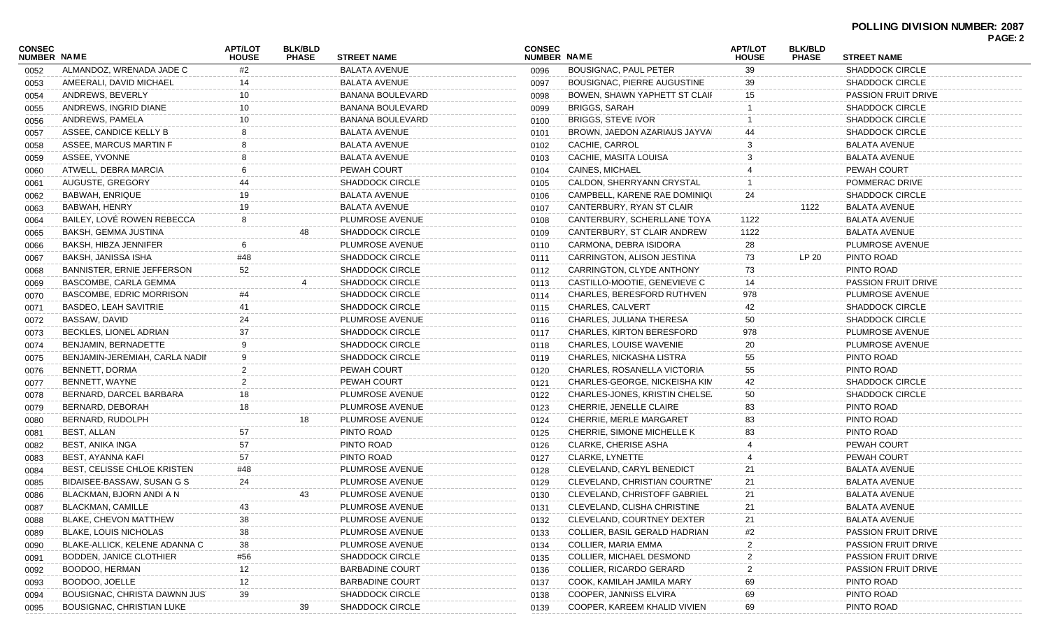| CONSEC             |                                   | <b>APT/LOT</b> | <b>BLK/BLD</b> |                        | <b>CONSEC</b> |                                | <b>APT/LOT</b> | <b>BLK/BLD</b> |                            | <b>PAGE: 2</b> |
|--------------------|-----------------------------------|----------------|----------------|------------------------|---------------|--------------------------------|----------------|----------------|----------------------------|----------------|
| <b>NUMBER NAME</b> |                                   | <b>HOUSE</b>   | <b>PHASE</b>   | <b>STREET NAME</b>     | NUMBER NAME   |                                | <b>HOUSE</b>   | <b>PHASE</b>   | <b>STREET NAME</b>         |                |
| 0052               | ALMANDOZ. WRENADA JADE C          | #2             |                | <b>BALATA AVENUE</b>   | 0096          | <b>BOUSIGNAC, PAUL PETER</b>   | 39             |                | <b>SHADDOCK CIRCLE</b>     |                |
| 0053               | AMEERALI, DAVID MICHAEL           | 14             |                | <b>BALATA AVENUE</b>   | 0097          | BOUSIGNAC, PIERRE AUGUSTINE    | 39             |                | <b>SHADDOCK CIRCLE</b>     |                |
| 0054               | ANDREWS, BEVERLY                  | 10             |                | BANANA BOULEVARD       | 0098          | BOWEN, SHAWN YAPHETT ST CLAIF  | 15             |                | <b>PASSION FRUIT DRIVE</b> |                |
| 0055               | ANDREWS, INGRID DIANE             | 10             |                | BANANA BOULEVARD       | 0099          | <b>BRIGGS, SARAH</b>           |                |                | <b>SHADDOCK CIRCLE</b>     |                |
| 0056               | ANDREWS, PAMELA                   | 10             |                | BANANA BOULEVARD       | 0100          | <b>BRIGGS, STEVE IVOR</b>      |                |                | <b>SHADDOCK CIRCLE</b>     |                |
| 0057               | ASSEE, CANDICE KELLY B            |                |                | <b>BALATA AVENUE</b>   | 0101          | BROWN, JAEDON AZARIAUS JAYVA   |                |                | <b>SHADDOCK CIRCLE</b>     |                |
| 0058               | ASSEE, MARCUS MARTIN F            |                |                | <b>BALATA AVENUE</b>   | 0102          | CACHIE, CARROL                 |                |                | <b>BALATA AVENUE</b>       |                |
| 0059               | ASSEE, YVONNE                     |                |                | <b>BALATA AVENUE</b>   | 0103          | CACHIE, MASITA LOUISA          |                |                | <b>BALATA AVENUE</b>       |                |
| 0060               | ATWELL, DEBRA MARCIA              |                |                | PEWAH COURT            | 0104          | CAINES, MICHAEL                |                |                | PEWAH COURT                |                |
| 0061               | AUGUSTE, GREGORY                  | 44             |                | <b>SHADDOCK CIRCLE</b> | 0105          | CALDON, SHERRYANN CRYSTAL      |                |                | POMMERAC DRIVE             |                |
| 0062               | <b>BABWAH, ENRIQUE</b>            | 19             |                | <b>BALATA AVENUE</b>   | 0106          | CAMPBELL, KARENE RAE DOMINIQU  | 24             |                | <b>SHADDOCK CIRCLE</b>     |                |
| 0063               | BABWAH, HENRY                     | 19             |                | <b>BALATA AVENUE</b>   | 0107          | CANTERBURY, RYAN ST CLAIR      |                | 1122           | <b>BALATA AVENUE</b>       |                |
| 0064               | BAILEY, LOVÉ ROWEN REBECCA        | 8              |                | PLUMROSE AVENUE        | 0108          | CANTERBURY, SCHERLLANE TOYA    | 1122           |                | <b>BALATA AVENUE</b>       |                |
| 0065               | BAKSH, GEMMA JUSTINA              |                | 48             | <b>SHADDOCK CIRCLE</b> | 0109          | CANTERBURY, ST CLAIR ANDREW    | 1122           |                | <b>BALATA AVENUE</b>       |                |
| 0066               | BAKSH, HIBZA JENNIFER             | 6              |                | PLUMROSE AVENUE        | 0110          | CARMONA, DEBRA ISIDORA         | 28             |                | PLUMROSE AVENUE            |                |
| 0067               | BAKSH, JANISSA ISHA               | #48            |                | <b>SHADDOCK CIRCLE</b> | 0111          | CARRINGTON, ALISON JESTINA     | 73             | LP 20          | PINTO ROAD                 |                |
| 0068               | <b>BANNISTER, ERNIE JEFFERSON</b> | 52             |                | SHADDOCK CIRCLE        | 0112          | CARRINGTON, CLYDE ANTHONY      | 73             |                | PINTO ROAD                 |                |
| 0069               | BASCOMBE, CARLA GEMMA             |                |                | <b>SHADDOCK CIRCLE</b> | 0113          | CASTILLO-MOOTIE, GENEVIEVE C   | 14             |                | <b>PASSION FRUIT DRIVE</b> |                |
| 0070               | BASCOMBE, EDRIC MORRISON          | #4             |                | <b>SHADDOCK CIRCLE</b> | 0114          | CHARLES, BERESFORD RUTHVEN     | 978            |                | PLUMROSE AVENUE            |                |
| 0071               | BASDEO, LEAH SAVITRIE             | 41             |                | SHADDOCK CIRCLE        | 0115          | <b>CHARLES, CALVERT</b>        | 42             |                | SHADDOCK CIRCLE            |                |
| 0072               | BASSAW, DAVID                     | 24             |                | PLUMROSE AVENUE        | 0116          | CHARLES, JULIANA THERESA       | 50             |                | SHADDOCK CIRCLE            |                |
| 0073               | BECKLES, LIONEL ADRIAN            | 37             |                | <b>SHADDOCK CIRCLE</b> | 0117          | CHARLES, KIRTON BERESFORD      | 978            |                | <b>PLUMROSE AVENUE</b>     |                |
| 0074               | BENJAMIN, BERNADETTE              | 9              |                | <b>SHADDOCK CIRCLE</b> | 0118          | CHARLES, LOUISE WAVENIE        | 20             |                | PLUMROSE AVENUE            |                |
| 0075               | BENJAMIN-JEREMIAH, CARLA NADIN    |                |                | SHADDOCK CIRCLE        | 0119          | CHARLES, NICKASHA LISTRA       | 55             |                | PINTO ROAD                 |                |
| 0076               | BENNETT, DORMA                    |                |                | PEWAH COURT            | 0120          | CHARLES, ROSANELLA VICTORIA    | 55             |                | PINTO ROAD                 |                |
| 0077               | BENNETT, WAYNE                    | 2              |                | PEWAH COURT            | 0121          | CHARLES-GEORGE, NICKEISHA KIM  | 42             |                | <b>SHADDOCK CIRCLE</b>     |                |
| 0078               | BERNARD, DARCEL BARBARA           | 18             |                | PLUMROSE AVENUE        | 0122          | CHARLES-JONES, KRISTIN CHELSE. | 50             |                | <b>SHADDOCK CIRCLE</b>     |                |
| 0079               | BERNARD, DEBORAH                  | 18             |                | PLUMROSE AVENUE        | 0123          | CHERRIE, JENELLE CLAIRE        | 83             |                | PINTO ROAD                 |                |
| 0080               | BERNARD, RUDOLPH                  |                | 18             | PLUMROSE AVENUE        | 0124          | CHERRIE, MERLE MARGARET        | 83             |                | PINTO ROAD                 |                |
| 0081               | BEST, ALLAN                       | 57             |                | PINTO ROAD             | 0125          | CHERRIE, SIMONE MICHELLE K     | 83             |                | PINTO ROAD                 |                |
| 0082               | BEST, ANIKA INGA                  | 57             |                | PINTO ROAD             | 0126          | <b>CLARKE, CHERISE ASHA</b>    |                |                | PEWAH COURT                |                |
| 0083               | BEST, AYANNA KAFI                 | 57             |                | PINTO ROAD             | 0127          | <b>CLARKE, LYNETTE</b>         |                |                | PEWAH COURT                |                |
| 0084               | BEST, CELISSE CHLOE KRISTEN       | #48            |                | PLUMROSE AVENUE        | 0128          | CLEVELAND, CARYL BENEDICT      | 21             |                | <b>BALATA AVENUE</b>       |                |
| 0085               | BIDAISEE-BASSAW, SUSAN G S        | 24             |                | PLUMROSE AVENUE        | 0129          | CLEVELAND, CHRISTIAN COURTNEY  | 21             |                | <b>BALATA AVENUE</b>       |                |
| 0086               | BLACKMAN, BJORN ANDI A N          |                | 43             | PLUMROSE AVENUE        | 0130          | CLEVELAND, CHRISTOFF GABRIEL   | 21             |                | <b>BALATA AVENUE</b>       |                |
| 0087               | BLACKMAN, CAMILLE                 | 43             |                | PLUMROSE AVENUE        | 0131          | CLEVELAND, CLISHA CHRISTINE    | 21             |                | <b>BALATA AVENUE</b>       |                |
| 0088               | BLAKE, CHEVON MATTHEW             | 38             |                | PLUMROSE AVENUE        | 0132          | CLEVELAND, COURTNEY DEXTER     | 21             |                | <b>BALATA AVENUE</b>       |                |
| 0089               | <b>BLAKE, LOUIS NICHOLAS</b>      | 38             |                | PLUMROSE AVENUE        | 0133          | COLLIER, BASIL GERALD HADRIAN  | #2             |                | PASSION FRUIT DRIVE        |                |
| 0090               | BLAKE-ALLICK, KELENE ADANNA C     | 38             |                | PLUMROSE AVENUE        | 0134          | COLLIER, MARIA EMMA            |                |                | <b>PASSION FRUIT DRIVE</b> |                |
| 0091               | BODDEN, JANICE CLOTHIER           | #56            |                | <b>SHADDOCK CIRCLE</b> | 0135          | COLLIER, MICHAEL DESMOND       |                |                | <b>PASSION FRUIT DRIVE</b> |                |
| 0092               | BOODOO, HERMAN                    | 12             |                | <b>BARBADINE COURT</b> | 0136          | <b>COLLIER, RICARDO GERARD</b> |                |                | PASSION FRUIT DRIVE        |                |
| 0093               | BOODOO, JOELLE                    | 12             |                | <b>BARBADINE COURT</b> | 0137          | COOK, KAMILAH JAMILA MARY      | 69             |                | PINTO ROAD                 |                |
| 0094               | BOUSIGNAC, CHRISTA DAWNN JUST     | 39             |                | <b>SHADDOCK CIRCLE</b> | 0138          | COOPER, JANNISS ELVIRA         | 69             |                | PINTO ROAD                 |                |
| 0095               | BOUSIGNAC, CHRISTIAN LUKE         |                | 39             | <b>SHADDOCK CIRCLE</b> | 0139          | COOPER, KAREEM KHALID VIVIEN   | 69             |                | PINTO ROAD                 |                |
|                    |                                   |                |                |                        |               |                                |                |                |                            |                |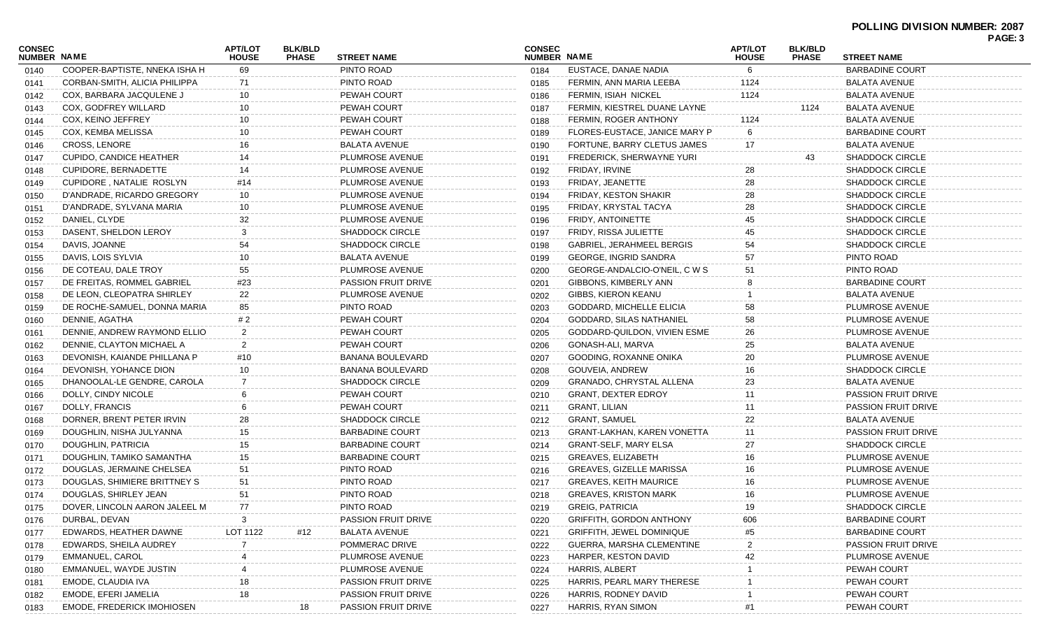|                              |                                   |                                                                  |     |                                                    |      |                                    |                                |                                |                            | PAGE: 3 |
|------------------------------|-----------------------------------|------------------------------------------------------------------|-----|----------------------------------------------------|------|------------------------------------|--------------------------------|--------------------------------|----------------------------|---------|
| CONSEC<br><b>NUMBER NAME</b> |                                   | <b>APT/LOT</b><br><b>BLK/BLD</b><br><b>HOUSE</b><br><b>PHASE</b> |     | <b>CONSEC</b><br>NUMBER NAME<br><b>STREET NAME</b> |      |                                    | <b>APT/LOT</b><br><b>HOUSE</b> | <b>BLK/BLD</b><br><b>PHASE</b> | <b>STREET NAME</b>         |         |
| 0140                         | COOPER-BAPTISTE, NNEKA ISHA H     | 69                                                               |     | PINTO ROAD                                         | 0184 | EUSTACE, DANAE NADIA               | 6                              |                                | <b>BARBADINE COURT</b>     |         |
| 0141                         | CORBAN-SMITH, ALICIA PHILIPPA     | 71                                                               |     | PINTO ROAD                                         | 0185 | FERMIN, ANN MARIA LEEBA            | 1124                           |                                | <b>BALATA AVENUE</b>       |         |
| 0142                         | COX, BARBARA JACQULENE J          | 10                                                               |     | <b>PEWAH COURT</b>                                 | 0186 | FERMIN, ISIAH NICKEL               | 1124                           |                                | <b>BALATA AVENUE</b>       |         |
| 0143                         | COX, GODFREY WILLARD              | 10                                                               |     | <b>PEWAH COURT</b>                                 | 0187 | FERMIN, KIESTREL DUANE LAYNE       |                                | 1124                           | <b>BALATA AVENUE</b>       |         |
| 0144                         | COX, KEINO JEFFREY                | 10                                                               |     | PEWAH COURT                                        | 0188 | FERMIN, ROGER ANTHONY              | 1124                           |                                | <b>BALATA AVENUE</b>       |         |
| 0145                         | COX, KEMBA MELISSA                | 10                                                               |     | PEWAH COURT                                        | 0189 | FLORES-EUSTACE, JANICE MARY P      | -6                             |                                | <b>BARBADINE COURT</b>     |         |
| 0146                         | <b>CROSS, LENORE</b>              | 16                                                               |     | <b>BALATA AVENUE</b>                               | 0190 | FORTUNE, BARRY CLETUS JAMES        | 17                             |                                | <b>BALATA AVENUE</b>       |         |
| 0147                         | <b>CUPIDO, CANDICE HEATHER</b>    | 14                                                               |     | PLUMROSE AVENUE                                    | 0191 | FREDERICK, SHERWAYNE YURI          |                                | 43                             | <b>SHADDOCK CIRCLE</b>     |         |
| 0148                         | CUPIDORE, BERNADETTE              | 14                                                               |     | PLUMROSE AVENUE                                    | 0192 | FRIDAY, IRVINE                     | 28                             |                                | <b>SHADDOCK CIRCLE</b>     |         |
| 0149                         | CUPIDORE, NATALIE ROSLYN          | #14                                                              |     | PLUMROSE AVENUE                                    | 0193 | FRIDAY, JEANETTE                   | 28                             |                                | <b>SHADDOCK CIRCLE</b>     |         |
| 0150                         | D'ANDRADE, RICARDO GREGORY        | 10                                                               |     | PLUMROSE AVENUE                                    | 0194 | <b>FRIDAY, KESTON SHAKIR</b>       | 28                             |                                | <b>SHADDOCK CIRCLE</b>     |         |
| 0151                         | D'ANDRADE, SYLVANA MARIA          | 10                                                               |     | PLUMROSE AVENUE                                    | 0195 | FRIDAY, KRYSTAL TACYA              | 28                             |                                | <b>SHADDOCK CIRCLE</b>     |         |
| 0152                         | DANIEL, CLYDE                     | 32                                                               |     | PLUMROSE AVENUE                                    | 0196 | FRIDY, ANTOINETTE                  | 45                             |                                | SHADDOCK CIRCLE            |         |
| 0153                         | DASENT, SHELDON LEROY             | 3                                                                |     | <b>SHADDOCK CIRCLE</b>                             | 0197 | FRIDY, RISSA JULIETTE              | 45                             |                                | <b>SHADDOCK CIRCLE</b>     |         |
| 0154                         | DAVIS, JOANNE                     | 54                                                               |     | <b>SHADDOCK CIRCLE</b>                             | 0198 | GABRIEL, JERAHMEEL BERGIS          | 54                             |                                | <b>SHADDOCK CIRCLE</b>     |         |
| 0155                         | DAVIS, LOIS SYLVIA                | 10                                                               |     | <b>BALATA AVENUE</b>                               | 0199 | <b>GEORGE, INGRID SANDRA</b>       | 57                             |                                | PINTO ROAD                 |         |
| 0156                         | DE COTEAU, DALE TROY              | 55                                                               |     | PLUMROSE AVENUE                                    | 0200 | GEORGE-ANDALCIO-O'NEIL, C W S      | 51                             |                                | PINTO ROAD                 |         |
| 0157                         | DE FREITAS, ROMMEL GABRIEL        | #23                                                              |     | <b>PASSION FRUIT DRIVE</b>                         | 0201 | GIBBONS, KIMBERLY ANN              |                                |                                | <b>BARBADINE COURT</b>     |         |
| 0158                         | DE LEON. CLEOPATRA SHIRLEY        | 22                                                               |     | PLUMROSE AVENUE                                    | 0202 | GIBBS, KIERON KEANU                |                                |                                | <b>BALATA AVENUE</b>       |         |
| 0159                         | DE ROCHE-SAMUEL, DONNA MARIA      | 85                                                               |     | PINTO ROAD                                         | 0203 | GODDARD, MICHELLE ELICIA           | 58                             |                                | PLUMROSE AVENUE            |         |
| 0160                         | DENNIE, AGATHA                    | #2                                                               |     | <b>PEWAH COURT</b>                                 | 0204 | GODDARD, SILAS NATHANIEL           | 58                             |                                | PLUMROSE AVENUE            |         |
| 0161                         | DENNIE, ANDREW RAYMOND ELLIO      | $\overline{2}$                                                   |     | PEWAH COURT                                        | 0205 | GODDARD-QUILDON, VIVIEN ESME       | 26                             |                                | PLUMROSE AVENUE            |         |
| 0162                         | DENNIE, CLAYTON MICHAEL A         | 2                                                                |     | PEWAH COURT                                        | 0206 | GONASH-ALI, MARVA                  | 25                             |                                | <b>BALATA AVENUE</b>       |         |
| 0163                         | DEVONISH, KAIANDE PHILLANA P      | #10                                                              |     | BANANA BOULEVARD                                   | 0207 | GOODING, ROXANNE ONIKA             | 20                             |                                | PLUMROSE AVENUE            |         |
| 0164                         | DEVONISH, YOHANCE DION            | 10                                                               |     | <b>BANANA BOULEVARD</b>                            | 0208 | GOUVEIA, ANDREW                    | 16                             |                                | <b>SHADDOCK CIRCLE</b>     |         |
| 0165                         | DHANOOLAL-LE GENDRE, CAROLA       |                                                                  |     | <b>SHADDOCK CIRCLE</b>                             | 0209 | GRANADO, CHRYSTAL ALLENA           | 23                             |                                | <b>BALATA AVENUE</b>       |         |
| 0166                         | DOLLY, CINDY NICOLE               |                                                                  |     | <b>PEWAH COURT</b>                                 | 0210 | <b>GRANT, DEXTER EDROY</b>         | 11                             |                                | <b>PASSION FRUIT DRIVE</b> |         |
| 0167                         | DOLLY, FRANCIS                    |                                                                  |     | PEWAH COURT                                        | 0211 | GRANT, LILIAN                      | 11                             |                                | <b>PASSION FRUIT DRIVE</b> |         |
| 0168                         | DORNER, BRENT PETER IRVIN         | 28                                                               |     | <b>SHADDOCK CIRCLE</b>                             | 0212 | <b>GRANT, SAMUEL</b>               | 22                             |                                | <b>BALATA AVENUE</b>       |         |
| 0169                         | DOUGHLIN, NISHA JULYANNA          | 15                                                               |     | <b>BARBADINE COURT</b>                             | 0213 | <b>GRANT-LAKHAN, KAREN VONETTA</b> | 11                             |                                | <b>PASSION FRUIT DRIVE</b> |         |
| 0170                         | DOUGHLIN, PATRICIA                | 15                                                               |     | <b>BARBADINE COURT</b>                             | 0214 | <b>GRANT-SELF, MARY ELSA</b>       | 27                             |                                | <b>SHADDOCK CIRCLE</b>     |         |
| 0171                         | DOUGHLIN, TAMIKO SAMANTHA         | 15                                                               |     | <b>BARBADINE COURT</b>                             | 0215 | <b>GREAVES, ELIZABETH</b>          | 16                             |                                | PLUMROSE AVENUE            |         |
| 0172                         | DOUGLAS, JERMAINE CHELSEA         | 51                                                               |     | PINTO ROAD                                         | 0216 | <b>GREAVES, GIZELLE MARISSA</b>    | 16                             |                                | PLUMROSE AVENUE            |         |
| 0173                         | DOUGLAS, SHIMIERE BRITTNEY S      | 51                                                               |     | PINTO ROAD                                         | 0217 | <b>GREAVES, KEITH MAURICE</b>      | 16                             |                                | PLUMROSE AVENUE            |         |
| 0174                         | DOUGLAS, SHIRLEY JEAN             | 51                                                               |     | PINTO ROAD                                         | 0218 | <b>GREAVES, KRISTON MARK</b>       | 16                             |                                | PLUMROSE AVENUE            |         |
| 0175                         | DOVER, LINCOLN AARON JALEEL M     | 77                                                               |     | PINTO ROAD                                         | 0219 | <b>GREIG, PATRICIA</b>             | 19                             |                                | <b>SHADDOCK CIRCLE</b>     |         |
| 0176                         | DURBAL, DEVAN                     |                                                                  |     | PASSION FRUIT DRIVE                                | 0220 | <b>GRIFFITH, GORDON ANTHONY</b>    | 606                            |                                | <b>BARBADINE COURT</b>     |         |
| 0177                         | EDWARDS, HEATHER DAWNE            | LOT 1122                                                         | #12 | <b>BALATA AVENUE</b>                               | 0221 | GRIFFITH, JEWEL DOMINIQUE          | #5                             |                                | <b>BARBADINE COURT</b>     |         |
| 0178                         | EDWARDS, SHEILA AUDREY            |                                                                  |     | POMMERAC DRIVE                                     | 0222 | GUERRA, MARSHA CLEMENTINE          | $\overline{2}$                 |                                | <b>PASSION FRUIT DRIVE</b> |         |
| 0179                         | <b>EMMANUEL, CAROL</b>            |                                                                  |     | PLUMROSE AVENUE                                    | 0223 | HARPER, KESTON DAVID               | 42                             |                                | PLUMROSE AVENUE            |         |
| 0180                         | EMMANUEL, WAYDE JUSTIN            |                                                                  |     | PLUMROSE AVENUE                                    | 0224 | <b>HARRIS, ALBERT</b>              |                                |                                | PEWAH COURT                |         |
| 0181                         | EMODE, CLAUDIA IVA                | 18                                                               |     | PASSION FRUIT DRIVE                                | 0225 | HARRIS, PEARL MARY THERESE         |                                |                                | PEWAH COURT                |         |
| 0182                         | EMODE, EFERI JAMELIA              | 18                                                               |     | PASSION FRUIT DRIVE                                | 0226 | HARRIS, RODNEY DAVID               |                                |                                | PEWAH COURT                |         |
| 0183                         | <b>EMODE, FREDERICK IMOHIOSEN</b> |                                                                  | 18  | PASSION FRUIT DRIVE                                | 0227 | HARRIS, RYAN SIMON                 | #1                             |                                | PEWAH COURT                |         |
|                              |                                   |                                                                  |     |                                                    |      |                                    |                                |                                |                            |         |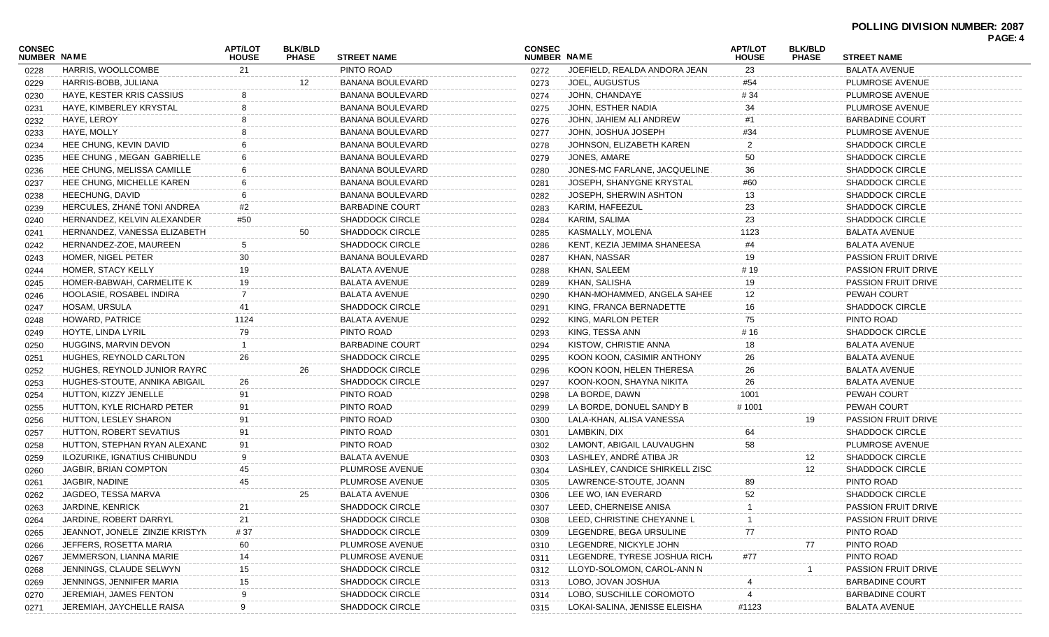|                              |                                |                                |                                |                         |                              |                                 |                                |                                |                            | PAGE: 4 |
|------------------------------|--------------------------------|--------------------------------|--------------------------------|-------------------------|------------------------------|---------------------------------|--------------------------------|--------------------------------|----------------------------|---------|
| CONSEC<br><b>NUMBER NAME</b> |                                | <b>APT/LOT</b><br><b>HOUSE</b> | <b>BLK/BLD</b><br><b>PHASE</b> | <b>STREET NAME</b>      | <b>CONSEC</b><br>NUMBER NAME |                                 | <b>APT/LOT</b><br><b>HOUSE</b> | <b>BLK/BLD</b><br><b>PHASE</b> | <b>STREET NAME</b>         |         |
| 0228                         | HARRIS, WOOLLCOMBE             | 21                             |                                | PINTO ROAD              | 0272                         | JOEFIELD, REALDA ANDORA JEAN    | 23                             |                                | <b>BALATA AVENUE</b>       |         |
| 0229                         | HARRIS-BOBB, JULIANA           |                                | 12                             | <b>BANANA BOULEVARD</b> | 0273                         | JOEL, AUGUSTUS                  | #54                            |                                | PLUMROSE AVENUE            |         |
| 0230                         | HAYE, KESTER KRIS CASSIUS      |                                |                                | <b>BANANA BOULEVARD</b> | 0274                         | JOHN, CHANDAYE                  | #34                            |                                | PLUMROSE AVENUE            |         |
| 0231                         | HAYE, KIMBERLEY KRYSTAL        | 8                              |                                | BANANA BOULEVARD        | 0275                         | JOHN, ESTHER NADIA              | 34                             |                                | PLUMROSE AVENUE            |         |
| 0232                         | HAYE, LEROY                    |                                |                                | BANANA BOULEVARD        | 0276                         | JOHN, JAHIEM ALI ANDREW         | #1                             |                                | <b>BARBADINE COURT</b>     |         |
| 0233                         | HAYE, MOLLY                    |                                |                                | BANANA BOULEVARD        | 0277                         | JOHN, JOSHUA JOSEPH             | #34                            |                                | PLUMROSE AVENUE            |         |
| 0234                         | HEE CHUNG, KEVIN DAVID         |                                |                                | <b>BANANA BOULEVARD</b> | 0278                         | JOHNSON, ELIZABETH KAREN        | 2                              |                                | <b>SHADDOCK CIRCLE</b>     |         |
| 0235                         | HEE CHUNG, MEGAN GABRIELLE     |                                |                                | <b>BANANA BOULEVARD</b> | 0279                         | JONES, AMARE                    | 50                             |                                | <b>SHADDOCK CIRCLE</b>     |         |
| 0236                         | HEE CHUNG, MELISSA CAMILLE     |                                |                                | <b>BANANA BOULEVARD</b> | 0280                         | JONES-MC FARLANE, JACQUELINE    | 36                             |                                | <b>SHADDOCK CIRCLE</b>     |         |
| 0237                         | HEE CHUNG, MICHELLE KAREN      |                                |                                | <b>BANANA BOULEVARD</b> | 0281                         | JOSEPH, SHANYGNE KRYSTAL        | #60                            |                                | <b>SHADDOCK CIRCLE</b>     |         |
| 0238                         | HEECHUNG, DAVID                |                                |                                | <b>BANANA BOULEVARD</b> | 0282                         | JOSEPH, SHERWIN ASHTON          | 13                             |                                | <b>SHADDOCK CIRCLE</b>     |         |
| 0239                         | HERCULES, ZHANÉ TONI ANDREA    | #2                             |                                | <b>BARBADINE COURT</b>  | 0283                         | KARIM, HAFEEZUL                 | 23                             |                                | <b>SHADDOCK CIRCLE</b>     |         |
| 0240                         | HERNANDEZ, KELVIN ALEXANDER    | #50                            |                                | <b>SHADDOCK CIRCLE</b>  | 0284                         | KARIM, SALIMA                   | 23                             |                                | <b>SHADDOCK CIRCLE</b>     |         |
| 0241                         | HERNANDEZ, VANESSA ELIZABETH   |                                | 50                             | <b>SHADDOCK CIRCLE</b>  | 0285                         | KASMALLY, MOLENA                | 1123                           |                                | <b>BALATA AVENUE</b>       |         |
| 0242                         | HERNANDEZ-ZOE, MAUREEN         | 5                              |                                | <b>SHADDOCK CIRCLE</b>  | 0286                         | KENT, KEZIA JEMIMA SHANEESA     | #4                             |                                | <b>BALATA AVENUE</b>       |         |
| 0243                         | HOMER, NIGEL PETER             | 30                             |                                | BANANA BOULEVARD        | 0287                         | KHAN, NASSAR                    | 19                             |                                | <b>PASSION FRUIT DRIVE</b> |         |
| 0244                         | HOMER, STACY KELLY             | 19                             |                                | BALATA AVENUE           | 0288                         | KHAN, SALEEM                    | #19                            |                                | <b>PASSION FRUIT DRIVE</b> |         |
| 0245                         | HOMER-BABWAH, CARMELITE K      | 19                             |                                | <b>BALATA AVENUE</b>    | 0289                         | KHAN, SALISHA                   | 19                             |                                | <b>PASSION FRUIT DRIVE</b> |         |
| 0246                         | HOOLASIE, ROSABEL INDIRA       | -7                             |                                | <b>BALATA AVENUE</b>    | 0290                         | KHAN-MOHAMMED, ANGELA SAHEE     | 12                             |                                | PEWAH COURT                |         |
| 0247                         | HOSAM, URSULA                  | 41                             |                                | <b>SHADDOCK CIRCLE</b>  | 0291                         | KING, FRANCA BERNADETTE         | 16                             |                                | <b>SHADDOCK CIRCLE</b>     |         |
| 0248                         | HOWARD, PATRICE                | 1124                           |                                | <b>BALATA AVENUE</b>    | 0292                         | KING, MARLON PETER              | 75                             |                                | PINTO ROAD                 |         |
| 0249                         | HOYTE, LINDA LYRIL             | 79                             |                                | PINTO ROAD              | 0293                         | KING, TESSA ANN                 | # 16                           |                                | <b>SHADDOCK CIRCLE</b>     |         |
| 0250                         | HUGGINS, MARVIN DEVON          |                                |                                | <b>BARBADINE COURT</b>  | 0294                         | KISTOW, CHRISTIE ANNA           | 18                             |                                | <b>BALATA AVENUE</b>       |         |
| 0251                         | HUGHES, REYNOLD CARLTON        | 26                             |                                | <b>SHADDOCK CIRCLE</b>  | 0295                         | KOON KOON, CASIMIR ANTHONY      | 26                             |                                | <b>BALATA AVENUE</b>       |         |
| 0252                         | HUGHES, REYNOLD JUNIOR RAYRC   |                                | 26                             | <b>SHADDOCK CIRCLE</b>  | 0296                         | KOON KOON, HELEN THERESA        | 26                             |                                | <b>BALATA AVENUE</b>       |         |
| 0253                         | HUGHES-STOUTE, ANNIKA ABIGAIL  | 26                             |                                | <b>SHADDOCK CIRCLE</b>  | 0297                         | KOON-KOON, SHAYNA NIKITA        | 26                             |                                | <b>BALATA AVENUE</b>       |         |
| 0254                         | HUTTON, KIZZY JENELLE          | 91                             |                                | PINTO ROAD              | 0298                         | LA BORDE, DAWN                  | 1001                           |                                | PEWAH COURT                |         |
| 0255                         | HUTTON, KYLE RICHARD PETER     | 91                             |                                | PINTO ROAD              | 0299                         | LA BORDE, DONUEL SANDY B        | #1001                          |                                | PEWAH COURT                |         |
| 0256                         | HUTTON, LESLEY SHARON          | 91                             |                                | PINTO ROAD              | 0300                         | LALA-KHAN, ALISA VANESSA        |                                | 19                             | PASSION FRUIT DRIVE        |         |
| 0257                         | HUTTON, ROBERT SEVATIUS        | 91                             |                                | PINTO ROAD              | 0301                         | LAMBKIN, DIX                    | 64                             |                                | <b>SHADDOCK CIRCLE</b>     |         |
| 0258                         | HUTTON, STEPHAN RYAN ALEXAND   | 91                             |                                | PINTO ROAD              | 0302                         | LAMONT, ABIGAIL LAUVAUGHN       | 58                             |                                | PLUMROSE AVENUE            |         |
| 0259                         | ILOZURIKE, IGNATIUS CHIBUNDU   | 9                              |                                | <b>BALATA AVENUE</b>    | 0303                         | LASHLEY, ANDRÉ ATIBA JR         |                                | 12                             | <b>SHADDOCK CIRCLE</b>     |         |
| 0260                         | JAGBIR, BRIAN COMPTON          | 45                             |                                | PLUMROSE AVENUE         | 0304                         | LASHLEY, CANDICE SHIRKELL ZISC. |                                | 12 <sub>2</sub>                | <b>SHADDOCK CIRCLE</b>     |         |
| 0261                         | JAGBIR, NADINE                 | 45                             |                                | PLUMROSE AVENUE         | 0305                         | LAWRENCE-STOUTE, JOANN          | 89                             |                                | PINTO ROAD                 |         |
| 0262                         | JAGDEO, TESSA MARVA            |                                | 25                             | <b>BALATA AVENUE</b>    | 0306                         | LEE WO, IAN EVERARD             | 52                             |                                | <b>SHADDOCK CIRCLE</b>     |         |
| 0263                         | JARDINE, KENRICK               | 21                             |                                | <b>SHADDOCK CIRCLE</b>  | 0307                         | LEED, CHERNEISE ANISA           | -1                             |                                | PASSION FRUIT DRIVE        |         |
| 0264                         | JARDINE, ROBERT DARRYL         | 21                             |                                | <b>SHADDOCK CIRCLE</b>  | 0308                         | LEED, CHRISTINE CHEYANNE L      |                                |                                | <b>PASSION FRUIT DRIVE</b> |         |
| 0265                         | JEANNOT, JONELE ZINZIE KRISTYN | # 37                           |                                | <b>SHADDOCK CIRCLE</b>  | 0309                         | LEGENDRE, BEGA URSULINE         | 77                             |                                | PINTO ROAD                 |         |
| 0266                         | JEFFERS, ROSETTA MARIA         | 60                             |                                | PLUMROSE AVENUE         | 0310                         | LEGENDRE, NICKYLE JOHN          |                                | 77                             | PINTO ROAD                 |         |
| 0267                         | JEMMERSON, LIANNA MARIE        | 14                             |                                | PLUMROSE AVENUE         | 0311                         | LEGENDRE, TYRESE JOSHUA RICH/   | #77                            |                                | PINTO ROAD                 |         |
| 0268                         | JENNINGS, CLAUDE SELWYN        | 15                             |                                | <b>SHADDOCK CIRCLE</b>  | 0312                         | LLOYD-SOLOMON, CAROL-ANN N      |                                |                                | PASSION FRUIT DRIVE        |         |
| 0269                         | JENNINGS, JENNIFER MARIA       | 15                             |                                | <b>SHADDOCK CIRCLE</b>  | 0313                         | LOBO, JOVAN JOSHUA              |                                |                                | <b>BARBADINE COURT</b>     |         |
| 0270                         | JEREMIAH, JAMES FENTON         |                                |                                | <b>SHADDOCK CIRCLE</b>  | 0314                         | LOBO, SUSCHILLE COROMOTO        |                                |                                | <b>BARBADINE COURT</b>     |         |
| 0271                         | JEREMIAH, JAYCHELLE RAISA      | 9                              |                                | <b>SHADDOCK CIRCLE</b>  | 0315                         | LOKAI-SALINA, JENISSE ELEISHA   | #1123                          |                                | <b>BALATA AVENUE</b>       |         |
|                              |                                |                                |                                |                         |                              |                                 |                                |                                |                            |         |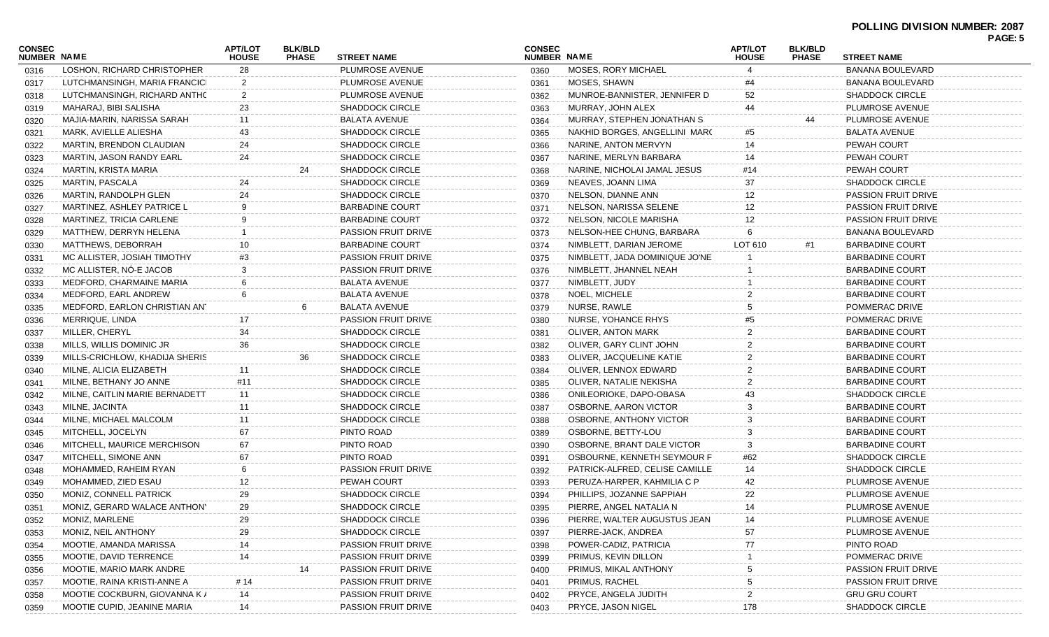|                              |                                |                                |                                |                            |                              |                                |                                |                                |                                          | PAGE: 5 |
|------------------------------|--------------------------------|--------------------------------|--------------------------------|----------------------------|------------------------------|--------------------------------|--------------------------------|--------------------------------|------------------------------------------|---------|
| <b>CONSEC</b><br>NUMBER NAME |                                | <b>APT/LOT</b><br><b>HOUSE</b> | <b>BLK/BLD</b><br><b>PHASE</b> | <b>STREET NAME</b>         | <b>CONSEC</b><br>NUMBER NAME |                                | <b>APT/LOT</b><br><b>HOUSE</b> | <b>BLK/BLD</b><br><b>PHASE</b> | <b>STREET NAME</b>                       |         |
| 0316                         | LOSHON, RICHARD CHRISTOPHER    | 28                             |                                | PLUMROSE AVENUE            | 0360                         | MOSES, RORY MICHAEL            | 4                              |                                | <b>BANANA BOULEVARD</b>                  |         |
| 0317                         | LUTCHMANSINGH, MARIA FRANCICI  | 2                              |                                | PLUMROSE AVENUE            | 0361                         | MOSES, SHAWN                   | #4                             |                                | <b>BANANA BOULEVARD</b>                  |         |
| 0318                         | LUTCHMANSINGH, RICHARD ANTHC   | 2                              |                                | <b>PLUMROSE AVENUE</b>     | 0362                         | MUNROE-BANNISTER, JENNIFER D   | 52                             |                                | <b>SHADDOCK CIRCLE</b>                   |         |
| 0319                         | MAHARAJ, BIBI SALISHA          | 23                             |                                | <b>SHADDOCK CIRCLE</b>     | 0363                         | MURRAY, JOHN ALEX              | 44                             |                                | PLUMROSE AVENUE                          |         |
| 0320                         | MAJIA-MARIN, NARISSA SARAH     | 11                             |                                | <b>BALATA AVENUE</b>       | 0364                         | MURRAY, STEPHEN JONATHAN S     |                                |                                | PLUMROSE AVENUE                          |         |
| 0321                         | MARK, AVIELLE ALIESHA          | 43                             |                                | SHADDOCK CIRCLE            | 0365                         | NAKHID BORGES, ANGELLINI MARC  | #5                             |                                | <b>BALATA AVENUE</b>                     |         |
| 0322                         | MARTIN, BRENDON CLAUDIAN       | 24                             |                                | <b>SHADDOCK CIRCLE</b>     | 0366                         | NARINE, ANTON MERVYN           | 14                             |                                | <b>PEWAH COURT</b>                       |         |
| 0323                         | MARTIN, JASON RANDY EARL       | 24                             |                                | <b>SHADDOCK CIRCLE</b>     | 0367                         | NARINE, MERLYN BARBARA         | 14                             |                                | <b>PEWAH COURT</b>                       |         |
| 0324                         | MARTIN, KRISTA MARIA           |                                | 24                             | <b>SHADDOCK CIRCLE</b>     | 0368                         | NARINE, NICHOLAI JAMAL JESUS   | #14                            |                                | <b>PEWAH COURT</b>                       |         |
| 0325                         | MARTIN, PASCALA                | 24                             |                                | <b>SHADDOCK CIRCLE</b>     | 0369                         | NEAVES, JOANN LIMA             | 37                             |                                | <b>SHADDOCK CIRCLE</b>                   |         |
| 0326                         | MARTIN, RANDOLPH GLEN          | 24                             |                                | SHADDOCK CIRCLE            | 0370                         | NELSON, DIANNE ANN             | 12                             |                                | <b>PASSION FRUIT DRIVE</b>               |         |
| 0327                         | MARTINEZ, ASHLEY PATRICE L     | 9                              |                                | <b>BARBADINE COURT</b>     | 0371                         | NELSON, NARISSA SELENE         | 12                             |                                | <b>PASSION FRUIT DRIVE</b>               |         |
| 0328                         | MARTINEZ, TRICIA CARLENE       | 9                              |                                | <b>BARBADINE COURT</b>     | 0372                         | NELSON, NICOLE MARISHA         | 12                             |                                | <b>PASSION FRUIT DRIVE</b>               |         |
| 0329                         | MATTHEW, DERRYN HELENA         |                                |                                | PASSION FRUIT DRIVE        | 0373                         | NELSON-HEE CHUNG, BARBARA      | 6                              |                                | <b>BANANA BOULEVARD</b>                  |         |
| 0330                         | MATTHEWS, DEBORRAH             | 10                             |                                | BARBADINE COURT            | 0374                         | NIMBLETT, DARIAN JEROME        | LOT 610                        | #1                             | <b>BARBADINE COURT</b>                   |         |
| 0331                         | MC ALLISTER, JOSIAH TIMOTHY    | #3                             |                                | <b>PASSION FRUIT DRIVE</b> | 0375                         | NIMBLETT, JADA DOMINIQUE JO'NE |                                |                                | <b>BARBADINE COURT</b>                   |         |
|                              | MC ALLISTER, NÓ-E JACOB        | 3                              |                                | <b>PASSION FRUIT DRIVE</b> |                              | NIMBLETT, JHANNEL NEAH         |                                |                                | <b>BARBADINE COURT</b>                   |         |
| 0332                         | MEDFORD, CHARMAINE MARIA       |                                |                                | <b>BALATA AVENUE</b>       | 0376                         | NIMBLETT, JUDY                 |                                |                                | <b>BARBADINE COURT</b>                   |         |
| 0333                         | MEDFORD. EARL ANDREW           | 6                              |                                |                            | 0377                         |                                |                                |                                |                                          |         |
| 0334                         |                                |                                |                                | <b>BALATA AVENUE</b>       | 0378                         | NOEL, MICHELE                  |                                |                                | <b>BARBADINE COURT</b><br>POMMERAC DRIVE |         |
| 0335                         | MEDFORD, EARLON CHRISTIAN ANT  |                                | 6                              | <b>BALATA AVENUE</b>       | 0379                         | NURSE, RAWLE                   |                                |                                |                                          |         |
| 0336                         | MERRIQUE, LINDA                | 17                             |                                | <b>PASSION FRUIT DRIVE</b> | 0380                         | NURSE, YOHANCE RHYS            |                                |                                | POMMERAC DRIVE                           |         |
| 0337                         | MILLER, CHERYL                 | 34                             |                                | <b>SHADDOCK CIRCLE</b>     | 0381                         | OLIVER, ANTON MARK             |                                |                                | <b>BARBADINE COURT</b>                   |         |
| 0338                         | MILLS, WILLIS DOMINIC JR       | 36                             |                                | SHADDOCK CIRCLE            | 0382                         | OLIVER, GARY CLINT JOHN        |                                |                                | <b>BARBADINE COURT</b>                   |         |
| 0339                         | MILLS-CRICHLOW, KHADIJA SHERIS |                                | 36                             | <b>SHADDOCK CIRCLE</b>     | 0383                         | OLIVER, JACQUELINE KATIE       |                                |                                | <b>BARBADINE COURT</b>                   |         |
| 0340                         | MILNE, ALICIA ELIZABETH        | 11                             |                                | <b>SHADDOCK CIRCLE</b>     | 0384                         | OLIVER, LENNOX EDWARD          |                                |                                | <b>BARBADINE COURT</b>                   |         |
| 0341                         | MILNE, BETHANY JO ANNE         | #11                            |                                | <b>SHADDOCK CIRCLE</b>     | 0385                         | OLIVER, NATALIE NEKISHA        |                                |                                | <b>BARBADINE COURT</b>                   |         |
| 0342                         | MILNE, CAITLIN MARIE BERNADETT | 11                             |                                | <b>SHADDOCK CIRCLE</b>     | 0386                         | ONILEORIOKE, DAPO-OBASA        |                                |                                | <b>SHADDOCK CIRCLE</b>                   |         |
| 0343                         | MILNE, JACINTA                 | 11                             |                                | <b>SHADDOCK CIRCLE</b>     | 0387                         | OSBORNE, AARON VICTOR          |                                |                                | <b>BARBADINE COURT</b>                   |         |
| 0344                         | MILNE, MICHAEL MALCOLM         | 11                             |                                | <b>SHADDOCK CIRCLE</b>     | 0388                         | OSBORNE, ANTHONY VICTOR        |                                |                                | <b>BARBADINE COURT</b>                   |         |
| 0345                         | MITCHELL, JOCELYN              | 67                             |                                | PINTO ROAD                 | 0389                         | OSBORNE, BETTY-LOU             |                                |                                | <b>BARBADINE COURT</b>                   |         |
| 0346                         | MITCHELL, MAURICE MERCHISON    | 67                             |                                | PINTO ROAD                 | 0390                         | OSBORNE, BRANT DALE VICTOR     | 3                              |                                | <b>BARBADINE COURT</b>                   |         |
| 0347                         | MITCHELL, SIMONE ANN           | 67                             |                                | PINTO ROAD                 | 0391                         | OSBOURNE, KENNETH SEYMOUR F    | #62                            |                                | <b>SHADDOCK CIRCLE</b>                   |         |
| 0348                         | MOHAMMED, RAHEIM RYAN          | 6                              |                                | <b>PASSION FRUIT DRIVE</b> | 0392                         | PATRICK-ALFRED, CELISE CAMILLE | 14                             |                                | <b>SHADDOCK CIRCLE</b>                   |         |
| 0349                         | MOHAMMED, ZIED ESAU            | 12                             |                                | PEWAH COURT                | 0393                         | PERUZA-HARPER, KAHMILIA C P    | 42                             |                                | PLUMROSE AVENUE                          |         |
| 0350                         | MONIZ, CONNELL PATRICK         | 29                             |                                | <b>SHADDOCK CIRCLE</b>     | 0394                         | PHILLIPS, JOZANNE SAPPIAH      | 22                             |                                | PLUMROSE AVENUE                          |         |
| 0351                         | MONIZ, GERARD WALACE ANTHON    | 29                             |                                | <b>SHADDOCK CIRCLE</b>     | 0395                         | PIERRE, ANGEL NATALIA N        | 14                             |                                | PLUMROSE AVENUE                          |         |
| 0352                         | MONIZ, MARLENE                 | 29                             |                                | <b>SHADDOCK CIRCLE</b>     | 0396                         | PIERRE, WALTER AUGUSTUS JEAN   | 14                             |                                | PLUMROSE AVENUE                          |         |
| 0353                         | MONIZ, NEIL ANTHONY            | 29                             |                                | <b>SHADDOCK CIRCLE</b>     | 0397                         | PIERRE-JACK, ANDREA            | 57                             |                                | PLUMROSE AVENUE                          |         |
| 0354                         | MOOTIE, AMANDA MARISSA         | 14                             |                                | PASSION FRUIT DRIVE        | 0398                         | POWER-CADIZ, PATRICIA          | 77                             |                                | PINTO ROAD                               |         |
| 0355                         | MOOTIE, DAVID TERRENCE         | 14                             |                                | PASSION FRUIT DRIVE        | 0399                         | PRIMUS, KEVIN DILLON           |                                |                                | POMMERAC DRIVE                           |         |
| 0356                         | MOOTIE, MARIO MARK ANDRE       |                                | 14                             | PASSION FRUIT DRIVE        | 0400                         | PRIMUS, MIKAL ANTHONY          |                                |                                | PASSION FRUIT DRIVE                      |         |
| 0357                         | MOOTIE, RAINA KRISTI-ANNE A    | # 14                           |                                | PASSION FRUIT DRIVE        | 0401                         | PRIMUS, RACHEL                 |                                |                                | <b>PASSION FRUIT DRIVE</b>               |         |
| 0358                         | MOOTIE COCKBURN, GIOVANNA K /  | 14                             |                                | <b>PASSION FRUIT DRIVE</b> | 0402                         | PRYCE, ANGELA JUDITH           |                                |                                | <b>GRU GRU COURT</b>                     |         |
| 0359                         | MOOTIE CUPID, JEANINE MARIA    | 14                             |                                | PASSION FRUIT DRIVE        | 0403                         | PRYCE, JASON NIGEL             | 178                            |                                | <b>SHADDOCK CIRCLE</b>                   |         |
|                              |                                |                                |                                |                            |                              |                                |                                |                                |                                          |         |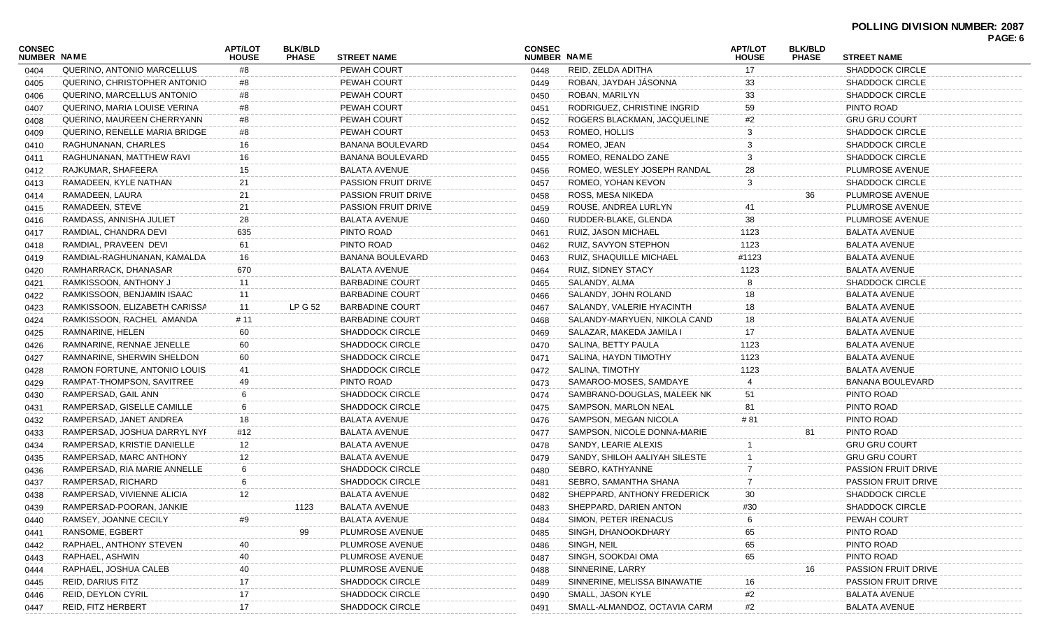## **POLLING DIVISION NUMBER: 2087**

| <b>CONSEC</b><br>NUMBER NAME |                               | <b>APT/LOT</b><br><b>HOUSE</b> | <b>BLK/BLD</b><br><b>PHASE</b> | <b>STREET NAME</b>         | <b>CONSEC</b><br>NUMBER NAME |                               | <b>APT/LOT</b><br><b>HOUSE</b> | <b>BLK/BLD</b><br><b>PHASE</b> | <b>STREET NAME</b>         | . AVL. V |
|------------------------------|-------------------------------|--------------------------------|--------------------------------|----------------------------|------------------------------|-------------------------------|--------------------------------|--------------------------------|----------------------------|----------|
| 0404                         | QUERINO, ANTONIO MARCELLUS    | #8                             |                                | PEWAH COURT                | 0448                         | REID, ZELDA ADITHA            | 17                             |                                | <b>SHADDOCK CIRCLE</b>     |          |
| 0405                         | QUERINO, CHRISTOPHER ANTONIO  | #8                             |                                | PEWAH COURT                | 0449                         | ROBAN, JAYDAH JÁSONNA         |                                |                                | <b>SHADDOCK CIRCLE</b>     |          |
| 0406                         | QUERINO, MARCELLUS ANTONIO    | #8                             |                                | PEWAH COURT                | 0450                         | ROBAN, MARILYN                | 33                             |                                | <b>SHADDOCK CIRCLE</b>     |          |
| 0407                         | QUERINO, MARIA LOUISE VERINA  | #8                             |                                | PEWAH COURT                | 0451                         | RODRIGUEZ, CHRISTINE INGRID   | 59                             |                                | PINTO ROAD                 |          |
| 0408                         | QUERINO, MAUREEN CHERRYANN    | #8                             |                                | PEWAH COURT                | 0452                         | ROGERS BLACKMAN, JACQUELINE   | #2                             |                                | <b>GRU GRU COURT</b>       |          |
| 0409                         | QUERINO, RENELLE MARIA BRIDGE | #8                             |                                | PEWAH COURT                | 0453                         | ROMEO, HOLLIS                 |                                |                                | <b>SHADDOCK CIRCLE</b>     |          |
| 0410                         | RAGHUNANAN, CHARLES           | 16                             |                                | BANANA BOULEVARD           | 0454                         | ROMEO, JEAN                   |                                |                                | <b>SHADDOCK CIRCLE</b>     |          |
| 0411                         | RAGHUNANAN, MATTHEW RAVI      | 16                             |                                | BANANA BOULEVARD           | 0455                         | ROMEO, RENALDO ZANE           |                                |                                | <b>SHADDOCK CIRCLE</b>     |          |
| 0412                         | RAJKUMAR, SHAFEERA            | 15                             |                                | <b>BALATA AVENUE</b>       | 0456                         | ROMEO, WESLEY JOSEPH RANDAL   | 28                             |                                | PLUMROSE AVENUE            |          |
| 0413                         | RAMADEEN, KYLE NATHAN         | 21                             |                                | <b>PASSION FRUIT DRIVE</b> | 0457                         | ROMEO, YOHAN KEVON            | 3                              |                                | <b>SHADDOCK CIRCLE</b>     |          |
| 0414                         | RAMADEEN, LAURA               | 21                             |                                | <b>PASSION FRUIT DRIVE</b> | 0458                         | ROSS, MESA NIKEDA             |                                | 36                             | PLUMROSE AVENUE            |          |
| 0415                         | RAMADEEN, STEVE               | 21                             |                                | <b>PASSION FRUIT DRIVE</b> | 0459                         | ROUSE, ANDREA LURLYN          |                                |                                | PLUMROSE AVENUE            |          |
| 0416                         | RAMDASS, ANNISHA JULIET       | 28                             |                                | <b>BALATA AVENUE</b>       | 0460                         | RUDDER-BLAKE, GLENDA          | 38                             |                                | PLUMROSE AVENUE            |          |
| 0417                         | RAMDIAL, CHANDRA DEVI         | 635                            |                                | PINTO ROAD                 | 0461                         | RUIZ, JASON MICHAEL           | 1123                           |                                | <b>BALATA AVENUE</b>       |          |
| 0418                         | RAMDIAL, PRAVEEN DEVI         | 61                             |                                | PINTO ROAD                 | 0462                         | RUIZ, SAVYON STEPHON          | 1123                           |                                | <b>BALATA AVENUE</b>       |          |
| 0419                         | RAMDIAL-RAGHUNANAN, KAMALDA   | 16                             |                                | <b>BANANA BOULEVARD</b>    | 0463                         | RUIZ, SHAQUILLE MICHAEL       | #1123                          |                                | BALATA AVENUE              |          |
| 0420                         | RAMHARRACK, DHANASAR          | 670                            |                                | <b>BALATA AVENUE</b>       | 0464                         | <b>RUIZ, SIDNEY STACY</b>     | 1123                           |                                | BALATA AVENUE              |          |
| 0421                         | RAMKISSOON, ANTHONY J         | 11                             |                                | <b>BARBADINE COURT</b>     | 0465                         | SALANDY, ALMA                 |                                |                                | <b>SHADDOCK CIRCLE</b>     |          |
| 0422                         | RAMKISSOON, BENJAMIN ISAAC    | 11                             |                                | <b>BARBADINE COURT</b>     | 0466                         | SALANDY, JOHN ROLAND          | 18                             |                                | <b>BALATA AVENUE</b>       |          |
| 0423                         | RAMKISSOON, ELIZABETH CARISSA | 11                             | <b>LP G 52</b>                 | <b>BARBADINE COURT</b>     | 0467                         | SALANDY, VALERIE HYACINTH     | 18                             |                                | <b>BALATA AVENUE</b>       |          |
| 0424                         | RAMKISSOON, RACHEL AMANDA     | # 11                           |                                | <b>BARBADINE COURT</b>     | 0468                         | SALANDY-MARYUEN, NIKOLA CAND  | 18                             |                                | <b>BALATA AVENUE</b>       |          |
| 0425                         | RAMNARINE, HELEN              | 60                             |                                | <b>SHADDOCK CIRCLE</b>     | 0469                         | SALAZAR, MAKEDA JAMILA I      | 17                             |                                | <b>BALATA AVENUE</b>       |          |
| 0426                         | RAMNARINE, RENNAE JENELLE     | 60                             |                                | <b>SHADDOCK CIRCLE</b>     | 0470                         | SALINA, BETTY PAULA           | 1123                           |                                | <b>BALATA AVENUE</b>       |          |
| 0427                         | RAMNARINE, SHERWIN SHELDON    | 60                             |                                | <b>SHADDOCK CIRCLE</b>     | 0471                         | SALINA, HAYDN TIMOTHY         | 1123                           |                                | BALATA AVENUE              |          |
| 0428                         | RAMON FORTUNE, ANTONIO LOUIS  | 41                             |                                | <b>SHADDOCK CIRCLE</b>     | 0472                         | SALINA, TIMOTHY               | 1123                           |                                | BALATA AVENUE              |          |
| 0429                         | RAMPAT-THOMPSON, SAVITREE     | 49                             |                                | PINTO ROAD                 | 0473                         | SAMAROO-MOSES, SAMDAYE        |                                |                                | <b>BANANA BOULEVARD</b>    |          |
| 0430                         | RAMPERSAD, GAIL ANN           | -6                             |                                | <b>SHADDOCK CIRCLE</b>     | 0474                         | SAMBRANO-DOUGLAS, MALEEK NK   | 51                             |                                | PINTO ROAD                 |          |
| 0431                         | RAMPERSAD, GISELLE CAMILLE    | -6                             |                                | <b>SHADDOCK CIRCLE</b>     | 0475                         | SAMPSON, MARLON NEAL          | 81                             |                                | PINTO ROAD                 |          |
| 0432                         | RAMPERSAD, JANET ANDREA       | 18                             |                                | <b>BALATA AVENUE</b>       | 0476                         | SAMPSON, MEGAN NICOLA         | # 81                           |                                | PINTO ROAD                 |          |
| 0433                         | RAMPERSAD, JOSHUA DARRYL NYF  | #12                            |                                | <b>BALATA AVENUE</b>       | 0477                         | SAMPSON, NICOLE DONNA-MARIE   |                                | 81                             | PINTO ROAD                 |          |
| 0434                         | RAMPERSAD, KRISTIE DANIELLE   | 12                             |                                | <b>BALATA AVENUE</b>       | 0478                         | SANDY, LEARIE ALEXIS          |                                |                                | <b>GRU GRU COURT</b>       |          |
| 0435                         | RAMPERSAD, MARC ANTHONY       | 12                             |                                | <b>BALATA AVENUE</b>       | 0479                         | SANDY, SHILOH AALIYAH SILESTE |                                |                                | <b>GRU GRU COURT</b>       |          |
| 0436                         | RAMPERSAD, RIA MARIE ANNELLE  | 6                              |                                | <b>SHADDOCK CIRCLE</b>     | 0480                         | SEBRO, KATHYANNE              |                                |                                | PASSION FRUIT DRIVE        |          |
| 0437                         | RAMPERSAD, RICHARD            | 6                              |                                | <b>SHADDOCK CIRCLE</b>     | 0481                         | SEBRO, SAMANTHA SHANA         |                                |                                | <b>PASSION FRUIT DRIVE</b> |          |
| 0438                         | RAMPERSAD, VIVIENNE ALICIA    |                                |                                | <b>BALATA AVENUE</b>       | 0482                         | SHEPPARD, ANTHONY FREDERICK   | 30                             |                                | <b>SHADDOCK CIRCLE</b>     |          |
| 0439                         | RAMPERSAD-POORAN, JANKIE      |                                | 1123                           | <b>BALATA AVENUE</b>       | 0483                         | SHEPPARD, DARIEN ANTON        |                                |                                | SHADDOCK CIRCLE            |          |
|                              | RAMSEY, JOANNE CECILY         |                                |                                | <b>BALATA AVENUE</b>       |                              | SIMON, PETER IRENACUS         |                                |                                | PEWAH COURT                |          |
| 0440                         | RANSOME, EGBERT               |                                | 99                             | PLUMROSE AVENUE            | 0484<br>0485                 | SINGH, DHANOOKDHARY           |                                |                                | PINTO ROAD                 |          |
| 0441                         | RAPHAEL, ANTHONY STEVEN       |                                |                                | PLUMROSE AVENUE            |                              | SINGH, NEIL                   |                                |                                | PINTO ROAD                 |          |
| 0442                         | RAPHAEL, ASHWIN               | 40                             |                                | PLUMROSE AVENUE            | 0486                         | SINGH, SOOKDAI OMA            | 65<br>65                       |                                | PINTO ROAD                 |          |
| 0443                         | RAPHAEL, JOSHUA CALEB         | 40                             |                                | PLUMROSE AVENUE            | 0487                         | SINNERINE, LARRY              |                                |                                | <b>PASSION FRUIT DRIVE</b> |          |
| 0444                         | REID, DARIUS FITZ             |                                |                                |                            | 0488                         | SINNERINE, MELISSA BINAWATIE  |                                |                                | <b>PASSION FRUIT DRIVE</b> |          |
| 0445                         | REID, DEYLON CYRIL            | 17                             |                                | <b>SHADDOCK CIRCLE</b>     | 0489                         | SMALL, JASON KYLE             |                                |                                |                            |          |
| 0446                         |                               | 17                             |                                | <b>SHADDOCK CIRCLE</b>     | 0490                         |                               | #2                             |                                | <b>BALATA AVENUE</b>       |          |
| 0447                         | REID, FITZ HERBERT            | 17                             |                                | SHADDOCK CIRCLE            | 0491                         | SMALL-ALMANDOZ, OCTAVIA CARM  | #2                             |                                | <b>BALATA AVENUE</b>       |          |

**PAGE: 6**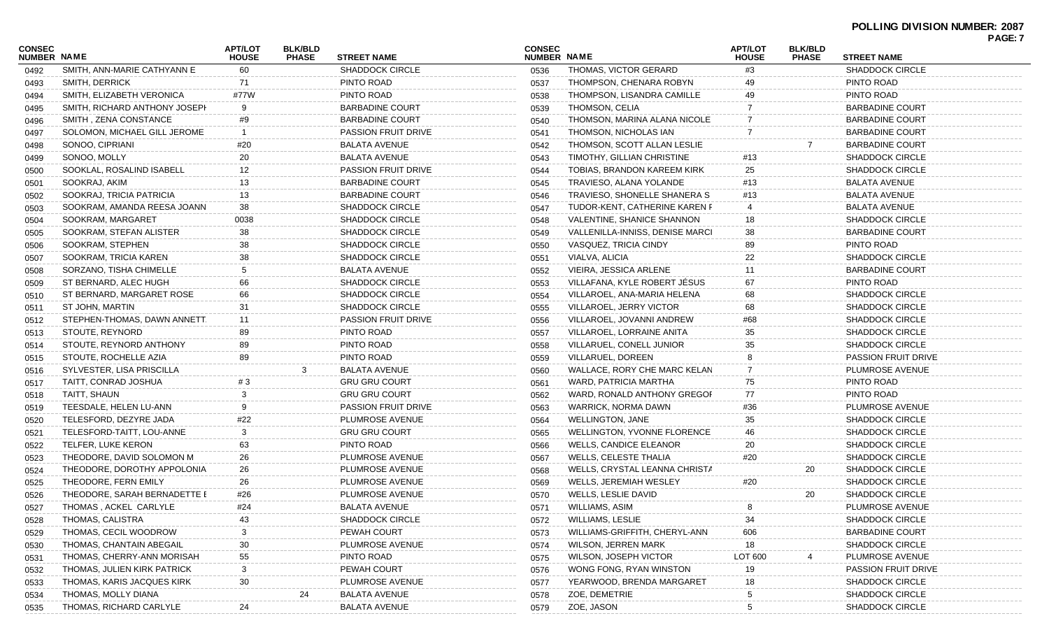| <b>CONSEC</b><br>NUMBER NAME |                                                   | <b>APT/LOT</b><br><b>HOUSE</b> | <b>BLK/BLD</b><br><b>PHASE</b> | <b>STREET NAME</b>         | <b>CONSEC</b><br><b>NUMBER NAME</b> |                                 | <b>APT/LOT</b><br><b>HOUSE</b> | <b>BLK/BLD</b><br><b>PHASE</b> | <b>STREET NAME</b>         | PAGE: 7 |
|------------------------------|---------------------------------------------------|--------------------------------|--------------------------------|----------------------------|-------------------------------------|---------------------------------|--------------------------------|--------------------------------|----------------------------|---------|
| 0492                         | SMITH, ANN-MARIE CATHYANN E                       | 60                             |                                | <b>SHADDOCK CIRCLE</b>     | 0536                                | THOMAS, VICTOR GERARD           | #3                             |                                | <b>SHADDOCK CIRCLE</b>     |         |
| 0493                         | SMITH, DERRICK                                    | 71                             |                                | PINTO ROAD                 | 0537                                | THOMPSON, CHENARA ROBYN         | 49                             |                                | PINTO ROAD                 |         |
| 0494                         | SMITH, ELIZABETH VERONICA                         | #77W                           |                                | PINTO ROAD                 | 0538                                | THOMPSON, LISANDRA CAMILLE      | 49                             |                                | PINTO ROAD                 |         |
| 0495                         | SMITH, RICHARD ANTHONY JOSEPH                     | 9                              |                                | <b>BARBADINE COURT</b>     | 0539                                | THOMSON, CELIA                  |                                |                                | <b>BARBADINE COURT</b>     |         |
| 0496                         | SMITH, ZENA CONSTANCE                             | #9                             |                                | <b>BARBADINE COURT</b>     | 0540                                | THOMSON, MARINA ALANA NICOLE    |                                |                                | <b>BARBADINE COURT</b>     |         |
| 0497                         | SOLOMON, MICHAEL GILL JEROME                      | -1                             |                                | <b>PASSION FRUIT DRIVE</b> | 0541                                | THOMSON, NICHOLAS IAN           | $\overline{7}$                 |                                | <b>BARBADINE COURT</b>     |         |
| 0498                         | SONOO, CIPRIANI                                   | #20                            |                                | <b>BALATA AVENUE</b>       | 0542                                | THOMSON, SCOTT ALLAN LESLIE     |                                |                                | <b>BARBADINE COURT</b>     |         |
| 0499                         | SONOO, MOLLY                                      | 20                             |                                | <b>BALATA AVENUE</b>       | 0543                                | TIMOTHY, GILLIAN CHRISTINE      | #13                            |                                | <b>SHADDOCK CIRCLE</b>     |         |
| 0500                         | SOOKLAL, ROSALIND ISABELL                         | 12                             |                                | <b>PASSION FRUIT DRIVE</b> | 0544                                | TOBIAS, BRANDON KAREEM KIRK     | 25                             |                                | <b>SHADDOCK CIRCLE</b>     |         |
| 0501                         | SOOKRAJ, AKIM                                     | 13                             |                                | <b>BARBADINE COURT</b>     | 0545                                | TRAVIESO, ALANA YOLANDE         | #13                            |                                | <b>BALATA AVENUE</b>       |         |
| 0502                         | SOOKRAJ, TRICIA PATRICIA                          | 13                             |                                | <b>BARBADINE COURT</b>     | 0546                                | TRAVIESO, SHONELLE SHANERA S    | #13                            |                                | <b>BALATA AVENUE</b>       |         |
| 0503                         | SOOKRAM, AMANDA REESA JOANN                       | 38                             |                                | SHADDOCK CIRCLE            | 0547                                | TUDOR-KENT, CATHERINE KAREN F   |                                |                                | <b>BALATA AVENUE</b>       |         |
| 0504                         | SOOKRAM, MARGARET                                 | 0038                           |                                | SHADDOCK CIRCLE            | 0548                                | VALENTINE, SHANICE SHANNON      | 18                             |                                | <b>SHADDOCK CIRCLE</b>     |         |
| 0505                         | SOOKRAM, STEFAN ALISTER                           | 38                             |                                | <b>SHADDOCK CIRCLE</b>     | 0549                                | VALLENILLA-INNISS, DENISE MARCI | 38                             |                                | <b>BARBADINE COURT</b>     |         |
| 0506                         | SOOKRAM, STEPHEN                                  | 38                             |                                | <b>SHADDOCK CIRCLE</b>     | 0550                                | VASQUEZ, TRICIA CINDY           | 89                             |                                | PINTO ROAD                 |         |
| 0507                         | SOOKRAM, TRICIA KAREN                             | 38                             |                                | SHADDOCK CIRCLE            | 0551                                | VIALVA, ALICIA                  | 22                             |                                | <b>SHADDOCK CIRCLE</b>     |         |
| 0508                         | SORZANO, TISHA CHIMELLE                           | 5                              |                                | <b>BALATA AVENUE</b>       | 0552                                | VIEIRA, JESSICA ARLENE          | 11                             |                                | <b>BARBADINE COURT</b>     |         |
| 0509                         | ST BERNARD, ALEC HUGH                             | 66                             |                                | <b>SHADDOCK CIRCLE</b>     | 0553                                | VILLAFANA. KYLE ROBERT JĖSUS    | 67                             |                                | PINTO ROAD                 |         |
|                              | ST BERNARD, MARGARET ROSE                         | 66                             |                                | <b>SHADDOCK CIRCLE</b>     | 0554                                | VILLAROEL, ANA-MARIA HELENA     | 68                             |                                | <b>SHADDOCK CIRCLE</b>     |         |
| 0510                         | ST JOHN, MARTIN                                   | 31                             |                                | <b>SHADDOCK CIRCLE</b>     | 0555                                | VILLAROEL, JERRY VICTOR         | 68                             |                                | <b>SHADDOCK CIRCLE</b>     |         |
| 0511                         | STEPHEN-THOMAS, DAWN ANNETT                       | 11                             |                                | <b>PASSION FRUIT DRIVE</b> | 0556                                | VILLAROEL, JOVANNI ANDREW       | #68                            |                                | <b>SHADDOCK CIRCLE</b>     |         |
| 0512                         | STOUTE, REYNORD                                   | 89                             |                                | PINTO ROAD                 | 0557                                | VILLAROEL, LORRAINE ANITA       | 35                             |                                | SHADDOCK CIRCLE            |         |
| 0513                         | STOUTE, REYNORD ANTHONY                           | 89                             |                                | PINTO ROAD                 |                                     | VILLARUEL, CONELL JUNIOR        | 35                             |                                | <b>SHADDOCK CIRCLE</b>     |         |
| 0514                         | STOUTE, ROCHELLE AZIA                             | 89                             |                                | PINTO ROAD                 | 0558                                | VILLARUEL, DOREEN               |                                |                                | <b>PASSION FRUIT DRIVE</b> |         |
| 0515                         |                                                   |                                | 3                              | <b>BALATA AVENUE</b>       | 0559                                | WALLACE, RORY CHE MARC KELAN    |                                |                                | PLUMROSE AVENUE            |         |
| 0516                         | SYLVESTER, LISA PRISCILLA<br>TAITT, CONRAD JOSHUA |                                |                                | <b>GRU GRU COURT</b>       | 0560                                | WARD, PATRICIA MARTHA           |                                |                                | PINTO ROAD                 |         |
| 0517                         |                                                   | #3<br>3                        |                                |                            | 0561                                |                                 | 75                             |                                | PINTO ROAD                 |         |
| 0518                         | TAITT, SHAUN                                      | 9                              |                                | <b>GRU GRU COURT</b>       | 0562                                | WARD, RONALD ANTHONY GREGOF     | 77                             |                                |                            |         |
| 0519                         | TEESDALE, HELEN LU-ANN                            |                                |                                | <b>PASSION FRUIT DRIVE</b> | 0563                                | <b>WARRICK, NORMA DAWN</b>      | #36                            |                                | PLUMROSE AVENUE            |         |
| 0520                         | TELESFORD, DEZYRE JADA                            | #22                            |                                | PLUMROSE AVENUE            | 0564                                | <b>WELLINGTON, JANE</b>         | 35                             |                                | <b>SHADDOCK CIRCLE</b>     |         |
| 0521                         | TELESFORD-TAITT, LOU-ANNE                         | 3                              |                                | <b>GRU GRU COURT</b>       | 0565                                | WELLINGTON, YVONNE FLORENCE     | 46                             |                                | <b>SHADDOCK CIRCLE</b>     |         |
| 0522                         | TELFER, LUKE KERON                                | 63                             |                                | PINTO ROAD                 | 0566                                | <b>WELLS, CANDICE ELEANOR</b>   | 20                             |                                | SHADDOCK CIRCLE            |         |
| 0523                         | THEODORE, DAVID SOLOMON M                         | 26                             |                                | PLUMROSE AVENUE            | 0567                                | WELLS, CELESTE THALIA           | #20                            |                                | <b>SHADDOCK CIRCLE</b>     |         |
| 0524                         | THEODORE, DOROTHY APPOLONIA                       | 26                             |                                | PLUMROSE AVENUE            | 0568                                | WELLS, CRYSTAL LEANNA CHRISTA   |                                | 20                             | <b>SHADDOCK CIRCLE</b>     |         |
| 0525                         | THEODORE, FERN EMILY                              | 26                             |                                | PLUMROSE AVENUE            | 0569                                | WELLS, JEREMIAH WESLEY          | #20                            |                                | <b>SHADDOCK CIRCLE</b>     |         |
| 0526                         | THEODORE, SARAH BERNADETTE E                      | #26                            |                                | PLUMROSE AVENUE            | 0570                                | WELLS, LESLIE DAVID             |                                | 20                             | <b>SHADDOCK CIRCLE</b>     |         |
| 0527                         | THOMAS, ACKEL CARLYLE                             | #24                            |                                | <b>BALATA AVENUE</b>       | 0571                                | WILLIAMS, ASIM                  | 8                              |                                | PLUMROSE AVENUE            |         |
| 0528                         | THOMAS, CALISTRA                                  | 43                             |                                | <b>SHADDOCK CIRCLE</b>     | 0572                                | WILLIAMS, LESLIE                | 34                             |                                | <b>SHADDOCK CIRCLE</b>     |         |
| 0529                         | THOMAS, CECIL WOODROW                             | 3                              |                                | PEWAH COURT                | 0573                                | WILLIAMS-GRIFFITH, CHERYL-ANN   | 606                            |                                | <b>BARBADINE COURT</b>     |         |
| 0530                         | THOMAS, CHANTAIN ABEGAIL                          | 30                             |                                | PLUMROSE AVENUE            | 0574                                | <b>WILSON, JERREN MARK</b>      | 18                             |                                | <b>SHADDOCK CIRCLE</b>     |         |
| 0531                         | THOMAS, CHERRY-ANN MORISAH                        | 55                             |                                | PINTO ROAD                 | 0575                                | WILSON, JOSEPH VICTOR           | <b>LOT 600</b>                 |                                | PLUMROSE AVENUE            |         |
| 0532                         | THOMAS, JULIEN KIRK PATRICK                       | 3                              |                                | PEWAH COURT                | 0576                                | WONG FONG, RYAN WINSTON         | 19                             |                                | PASSION FRUIT DRIVE        |         |
| 0533                         | THOMAS, KARIS JACQUES KIRK                        | 30                             |                                | PLUMROSE AVENUE            | 0577                                | YEARWOOD, BRENDA MARGARET       | 18                             |                                | <b>SHADDOCK CIRCLE</b>     |         |
| 0534                         | THOMAS, MOLLY DIANA                               |                                | 24                             | <b>BALATA AVENUE</b>       | 0578                                | ZOE, DEMETRIE                   |                                |                                | <b>SHADDOCK CIRCLE</b>     |         |
| 0535                         | THOMAS, RICHARD CARLYLE                           | 24                             |                                | <b>BALATA AVENUE</b>       | 0579                                | ZOE, JASON                      |                                |                                | <b>SHADDOCK CIRCLE</b>     |         |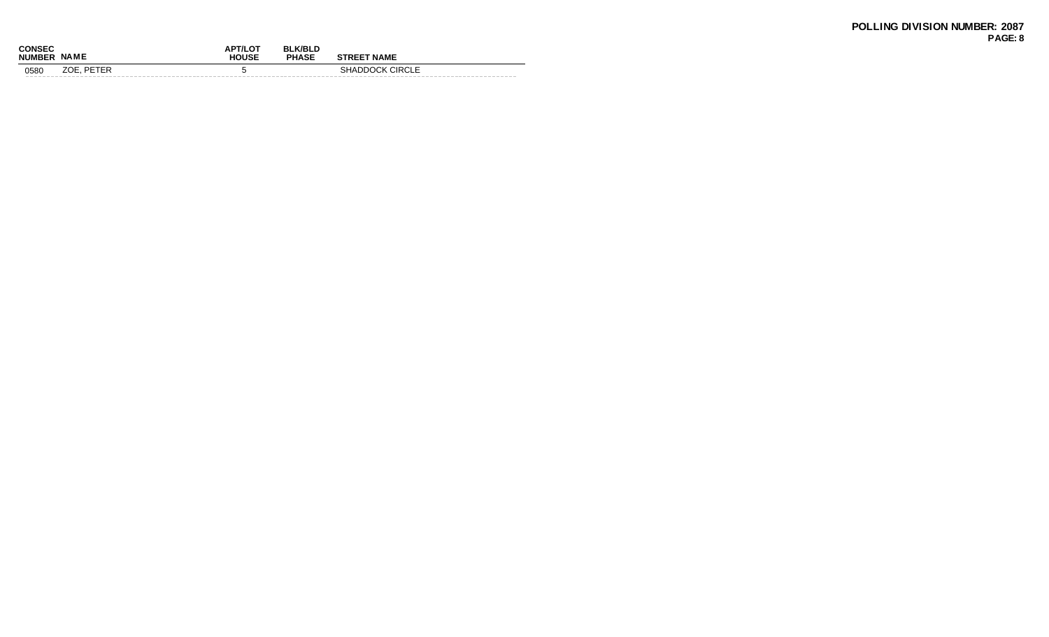| <b>CONSEC</b><br><b>NUMBER</b> | <b>NAME</b> | <b>APT/LOT</b><br><b>HOUSE</b> | <b>BLK/BLD</b><br><b>PHASE</b> | <b>STREET NAME</b>     |  |
|--------------------------------|-------------|--------------------------------|--------------------------------|------------------------|--|
| 0580                           | ZOE. PETER  |                                |                                | <b>SHADDOCK CIRCLE</b> |  |